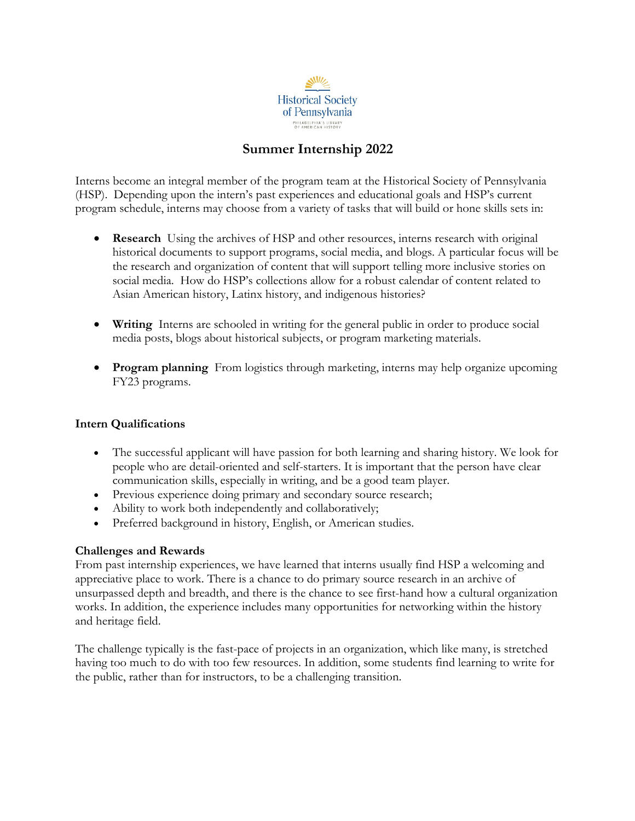

# **Summer Internship 2022**

Interns become an integral member of the program team at the Historical Society of Pennsylvania (HSP). Depending upon the intern's past experiences and educational goals and HSP's current program schedule, interns may choose from a variety of tasks that will build or hone skills sets in:

- **Research** Using the archives of HSP and other resources, interns research with original historical documents to support programs, social media, and blogs. A particular focus will be the research and organization of content that will support telling more inclusive stories on social media. How do HSP's collections allow for a robust calendar of content related to Asian American history, Latinx history, and indigenous histories?
- **Writing** Interns are schooled in writing for the general public in order to produce social media posts, blogs about historical subjects, or program marketing materials.
- **Program planning** From logistics through marketing, interns may help organize upcoming FY23 programs.

### **Intern Qualifications**

- The successful applicant will have passion for both learning and sharing history. We look for people who are detail-oriented and self-starters. It is important that the person have clear communication skills, especially in writing, and be a good team player.
- Previous experience doing primary and secondary source research;
- Ability to work both independently and collaboratively;
- Preferred background in history, English, or American studies.

## **Challenges and Rewards**

From past internship experiences, we have learned that interns usually find HSP a welcoming and appreciative place to work. There is a chance to do primary source research in an archive of unsurpassed depth and breadth, and there is the chance to see first-hand how a cultural organization works. In addition, the experience includes many opportunities for networking within the history and heritage field.

The challenge typically is the fast-pace of projects in an organization, which like many, is stretched having too much to do with too few resources. In addition, some students find learning to write for the public, rather than for instructors, to be a challenging transition.